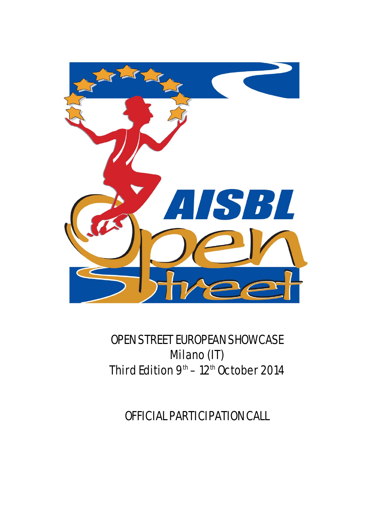

# OPEN STREET EUROPEAN SHOWCASE Milano (IT) Third Edition  $9<sup>th</sup> - 12<sup>th</sup>$  October 2014

OFFICIAL PARTICIPATION CALL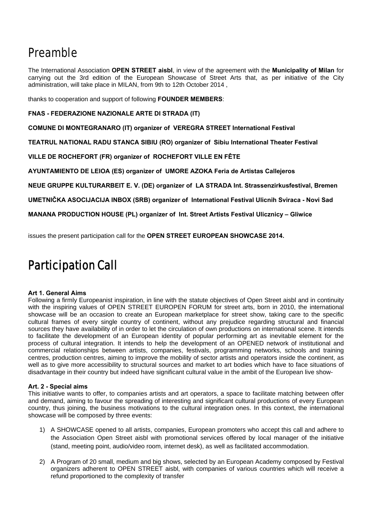## Preamble

The International Association **OPEN STREET aisbl**, in view of the agreement with the **Municipality of Milan** for carrying out the 3rd edition of the European Showcase of Street Arts that, as per initiative of the City administration, will take place in MILAN, from 9th to 12th October 2014 ,

thanks to cooperation and support of following **FOUNDER MEMBERS**:

**FNAS - FEDERAZIONE NAZIONALE ARTE DI STRADA (IT)** 

**COMUNE DI MONTEGRANARO (IT) organizer of VEREGRA STREET International Festival** 

**TEATRUL NATIONAL RADU STANCA SIBIU (RO) organizer of Sibiu International Theater Festival** 

**VILLE DE ROCHEFORT (FR) organizer of ROCHEFORT VILLE EN FÊTE** 

**AYUNTAMIENTO DE LEIOA (ES) organizer of UMORE AZOKA Feria de Artistas Callejeros** 

**NEUE GRUPPE KULTURARBEIT E. V. (DE) organizer of LA STRADA Int. Strassenzirkusfestival, Bremen** 

**UMETNIČKA ASOCIJACIJA INBOX (SRB) organizer of International Festival Ulicnih Sviraca - Novi Sad** 

**MANANA PRODUCTION HOUSE (PL) organizer of Int. Street Artists Festival Ulicznicy – Gliwice** 

issues the present participation call for the **OPEN STREET EUROPEAN SHOWCASE 2014.** 

## Participation Call

## **Art 1. General Aims**

Following a firmly Europeanist inspiration, in line with the statute objectives of Open Street aisbl and in continuity with the inspiring values of OPEN STREET EUROPEN FORUM for street arts, born in 2010, the international showcase will be an occasion to create an European marketplace for street show, taking care to the specific cultural frames of every single country of continent, without any prejudice regarding structural and financial sources they have availability of in order to let the circulation of own productions on international scene. It intends to facilitate the development of an European identity of popular performing art as inevitable element for the process of cultural integration. It intends to help the development of an OPENED network of institutional and commercial relationships between artists, companies, festivals, programming networks, schools and training centres, production centres, aiming to improve the mobility of sector artists and operators inside the continent, as well as to give more accessibility to structural sources and market to art bodies which have to face situations of disadvantage in their country but indeed have significant cultural value in the ambit of the European live show-

## **Art. 2 - Special aims**

This initiative wants to offer, to companies artists and art operators, a space to facilitate matching between offer and demand, aiming to favour the spreading of interesting and significant cultural productions of every European country, thus joining, the business motivations to the cultural integration ones. In this context, the international showcase will be composed by three events:

- 1) A SHOWCASE opened to all artists, companies, European promoters who accept this call and adhere to the Association Open Street aisbl with promotional services offered by local manager of the initiative (stand, meeting point, audio/video room, internet desk), as well as facilitated accommodation.
- 2) A Program of 20 small, medium and big shows, selected by an European Academy composed by Festival organizers adherent to OPEN STREET aisbl, with companies of various countries which will receive a refund proportioned to the complexity of transfer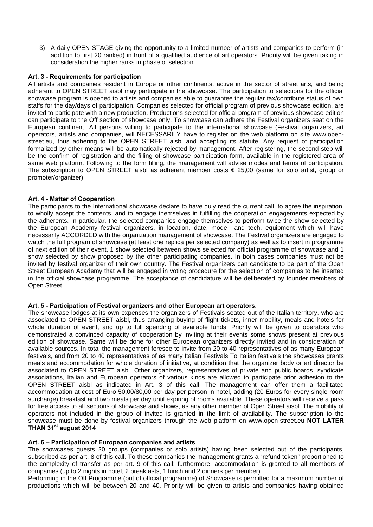3) A daily OPEN STAGE giving the opportunity to a limited number of artists and companies to perform (in addition to first 20 ranked) in front of a qualified audience of art operators. Priority will be given taking in consideration the higher ranks in phase of selection

## **Art. 3 - Requirements for participation**

All artists and companies resident in Europe or other continents, active in the sector of street arts, and being adherent to OPEN STREET aisbl may participate in the showcase. The participation to selections for the official showcase program is opened to artists and companies able to guarantee the regular tax/contribute status of own staffs for the day/days of participation. Companies selected for official program of previous showcase edition, are invited to participate with a new production. Productions selected for official program of previous showcase edition can participate to the Off section of showcase only. To showcase can adhere the Festival organizers seat on the European continent. All persons willing to participate to the international showcase (Festival organizers, art operators, artists and companies, will NECESSARILY have to register on the web platform on site www.openstreet.eu, thus adhering to the OPEN STREET aisbl and accepting its statute. Any request of participation formalized by other means will be automatically rejected by management. After registering, the second step will be the confirm of registration and the filling of showcase participation form, available in the registered area of same web platform. Following to the form filling, the management will advise modes and terms of participation. The subscription to OPEN STREET aisbl as adherent member costs  $\epsilon$  25,00 (same for solo artist, group or promoter/organizer)

## **Art. 4 - Matter of Cooperation**

The participants to the International showcase declare to have duly read the current call, to agree the inspiration, to wholly accept the contents, and to engage themselves in fulfilling the cooperation engagements expected by the adherents. In particular, the selected companies engage themselves to perform twice the show selected by the European Academy festival organizers, in location, date, mode and tech. equipment which will have necessarily ACCORDED with the organization management of showcase. The Festival organizers are engaged to watch the full program of showcase (at least one replica per selected company) as well as to insert in programme of next edition of their event, 1 show selected between shows selected for official programme of showcase and 1 show selected by show proposed by the other participating companies. In both cases companies must not be invited by festival organizer of their own country. The Festival organizers can candidate to be part of the Open Street European Academy that will be engaged in voting procedure for the selection of companies to be inserted in the official showcase programme. The acceptance of candidature will be deliberated by founder members of Open Street.

## **Art. 5 - Participation of Festival organizers and other European art operators.**

The showcase lodges at its own expenses the organizers of Festivals seated out of the Italian territory, who are associated to OPEN STREET aisbl, thus arranging buying of flight tickets, inner mobility, meals and hotels for whole duration of event, and up to full spending of available funds. Priority will be given to operators who demonstrated a convinced capacity of cooperation by inviting at their events some shows present at previous edition of showcase. Same will be done for other European organizers directly invited and in consideration of available sources. In total the management foresee to invite from 20 to 40 representatives of as many European festivals, and from 20 to 40 representatives of as many Italian Festivals To Italian festivals the showcases grants meals and accommodation for whole duration of initiative, at condition that the organizer body or art director be associated to OPEN STREET aisbl. Other organizers, representatives of private and public boards, syndicate associations, Italian and European operators of various kinds are allowed to participate prior adhesion to the OPEN STREET aisbl as indicated in Art. 3 of this call. The management can offer them a facilitated accommodation at cost of Euro 50,00/80,00 per day per person in hotel, adding (20 Euros for every single room surcharge) breakfast and two meals per day until expiring of rooms available. These operators will receive a pass for free access to all sections of showcase and shows, as any other member of Open Street aisbl. The mobility of operators not included in the group of invited is granted in the limit of availability. The subscription to the showcase must be done by festival organizers through the web platform on www.open-street.eu **NOT LATER THAN 31st august 2014**

## **Art. 6 – Participation of European companies and artists**

The showcases guests 20 groups (companies or solo artists) having been selected out of the participants, subscribed as per art. 8 of this call. To these companies the management grants a "refund token" proportioned to the complexity of transfer as per art. 9 of this call; furthermore, accommodation is granted to all members of companies (up to 2 nights in hotel, 2 breakfasts, 1 lunch and 2 dinners per member).

Performing in the Off Programme (out of official programme) of Showcase is permitted for a maximum number of productions which will be between 20 and 40. Priority will be given to artists and companies having obtained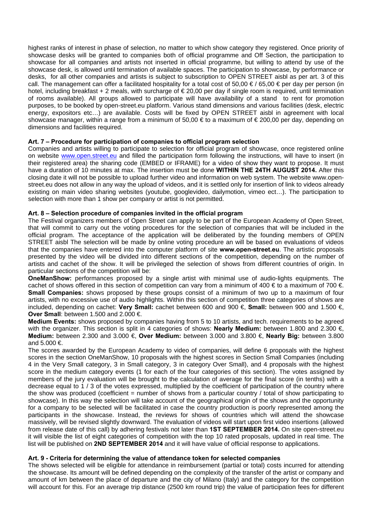highest ranks of interest in phase of selection, no matter to which show category they registered. Once priority of showcase desks will be granted to companies both of official programme and Off Section, the participation to showcase for all companies and artists not inserted in official programme, but willing to attend by use of the showcase desk, is allowed until termination of available spaces. The participation to showcase, by performance or desks, for all other companies and artists is subject to subscription to OPEN STREET aisbl as per art. 3 of this call. The management can offer a facilitated hospitality for a total cost of 50,00  $\in$  / 65,00  $\in$  per day per person (in hotel, including breakfast + 2 meals, with surcharge of  $\epsilon$  20,00 per day if single room is required, until termination of rooms available). All groups allowed to participate will have availability of a stand to rent for promotion purposes, to be booked by open-street.eu platform. Various stand dimensions and various facilities (desk, electric energy, expositors etc...) are available. Costs will be fixed by OPEN STREET aisbl in agreement with local showcase manager, within a range from a minimum of 50,00 € to a maximum of € 200,00 per day, depending on dimensions and facilities required.

## **Art. 7 – Procedure for participation of companies to official program selection**

Companies and artists willing to participate to selection for official program of showcase, once registered online on website www.open.street.eu and filled the participation form following the instructions, will have to insert (in their registered area) the sharing code (EMBED or IFRAME) for a video of show they want to propose. It must have a duration of 10 minutes at max. The insertion must be done **WITHIN THE 24TH AUGUST 2014.** After this closing date it will not be possible to upload further video and information on web system. The website www.openstreet.eu does not allow in any way the upload of videos, and it is settled only for insertion of link to videos already existing on main video sharing websites (youtube, googlevideo, dailymotion, vimeo ect…). The participation to selection with more than 1 show per company or artist is not permitted.

## **Art. 8 – Selection procedure of companies invited in the official program**

The Festival organizers members of Open Street can apply to be part of the European Academy of Open Street, that will commit to carry out the voting procedures for the selection of companies that will be included in the official program. The acceptance of the application will be deliberated by the founding members of OPEN STREET aisbl The selection will be made by online voting procedure an will be based on evaluations of videos that the companies have entered into the computer platform of site **www.open-street.eu**. The artistic proposals presented by the video will be divided into different sections of the competition, depending on the number of artists and cachet of the show. It will be privileged the selection of shows from different countries of origin. In particular sections of the competition will be:

**OneManShow:** performances proposed by a single artist with minimal use of audio-lights equipments. The cachet of shows offered in this section of competition can vary from a minimum of 400  $\in$  to a maximum of 700  $\in$ **Small Companies:** shows proposed by these groups consist of a minimum of two up to a maximum of four artists, with no excessive use of audio highlights. Within this section of competition three categories of shows are included, depending on cachet: **Very Small:** cachet between 600 and 900 €, **Small:** between 900 and 1.500 €, **Over Small: between 1.500 and 2.000 €.** 

**Medium Events:** shows proposed by companies having from 5 to 10 artists, and tech. requirements to be agreed with the organizer. This section is split in 4 categories of shows: **Nearly Medium:** between 1.800 and 2.300 €, **Medium:** between 2.300 and 3.000 €, **Over Medium:** between 3.000 and 3.800 €, **Nearly Big:** between 3.800 and 5.000 €.

The scores awarded by the European Academy to video of companies, will define 6 proposals with the highest scores in the section OneManShow, 10 proposals with the highest scores in Section Small Companies (including 4 in the Very Small category, 3 in Small category, 3 in category Over Small), and 4 proposals with the highest score in the medium category events (1 for each of the four categories of this section). The votes assigned by members of the jury evaluation will be brought to the calculation of average for the final score (in tenths) with a decrease equal to 1 / 3 of the votes expressed, multiplied by the coefficient of participation of the country where the show was produced (coefficient  $=$  number of shows from a particular country / total of show participating to showcase). In this way the selection will take account of the geographical origin of the shows and the opportunity for a company to be selected will be facilitated in case the country production is poorly represented among the participants in the showcase. Instead, the reviews for shows of countries which will attend the showcase massively, will be revised slightly downward. The evaluation of videos will start upon first video insertions (allowed from release date of this call) by adhering festivals not later than **1ST SEPTEMBER 2014.** On site open-street.eu it will visible the list of eight categories of competition with the top 10 rated proposals, updated in real time. The list will be published on **2ND SEPTEMBER 2014** and it will have value of official response to applications.

## **Art. 9 - Criteria for determining the value of attendance token for selected companies**

The shows selected will be eligible for attendance in reimbursement (partial or total) costs incurred for attending the showcase. Its amount will be defined depending on the complexity of the transfer of the artist or company and amount of km between the place of departure and the city of Milano (Italy) and the category for the competition will account for this. For an average trip distance (2500 km round trip) the value of participation fees for different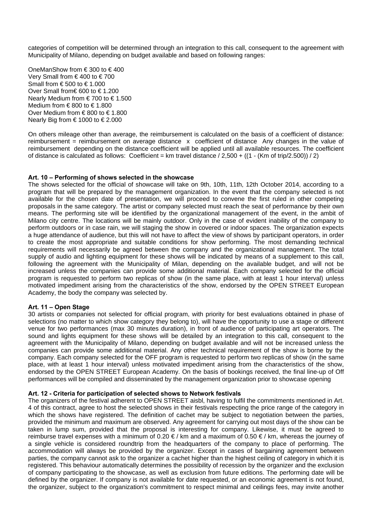categories of competition will be determined through an integration to this call, consequent to the agreement with Municipality of Milano, depending on budget available and based on following ranges:

OneManShow from € 300 to € 400 Very Small from € 400 to € 700 Small from  $\text{\textsterling}500$  to  $\text{\textsterling}1.000$ Over Small from€ 600 to € 1.200 Nearly Medium from  $\in$  700 to  $\in$  1.500 Medium from € 800 to € 1.800 Over Medium from € 800 to € 1.800 Nearly Big from  $\text{\ensuremath{\in}} 1000$  to  $\text{\ensuremath{\in}} 2.000$ 

On others mileage other than average, the reimbursement is calculated on the basis of a coefficient of distance: reimbursement = reimbursement on average distance x coefficient of distance Any changes in the value of reimbursement depending on the distance coefficient will be applied until all available resources. The coefficient of distance is calculated as follows: Coefficient = km travel distance  $/ 2,500 + ((1 - (Km \text{ of trip}/2.500)) / 2)$ 

## **Art. 10 – Performing of shows selected in the showcase**

The shows selected for the official of showcase will take on 9th, 10th, 11th, 12th October 2014, according to a program that will be prepared by the management organization. In the event that the company selected is not available for the chosen date of presentation, we will proceed to convene the first ruled in other competing proposals in the same category. The artist or company selected must reach the seat of performance by their own means. The performing site will be identified by the organizational management of the event, in the ambit of Milano city centre. The locations will be mainly outdoor. Only in the case of evident inability of the company to perform outdoors or in case rain, we will staging the show in covered or indoor spaces. The organization expects a huge attendance of audience, but this will not have to affect the view of shows by participant operators, in order to create the most appropriate and suitable conditions for show performing. The most demanding technical requirements will necessarily be agreed between the company and the organizational management. The total supply of audio and lighting equipment for these shows will be indicated by means of a supplement to this call, following the agreement with the Municipality of Milan, depending on the available budget, and will not be increased unless the companies can provide some additional material. Each company selected for the official program is requested to perform two replicas of show (in the same place, with at least 1 hour interval) unless motivated impediment arising from the characteristics of the show, endorsed by the OPEN STREET European Academy, the body the company was selected by.

#### **Art. 11 – Open Stage**

30 artists or companies not selected for official program, with priority for best evaluations obtained in phase of selections (no matter to which show category they belong to), will have the opportunity to use a stage or different venue for two performances (max 30 minutes duration), in front of audience of participating art operators. The sound and lights equipment for these shows will be detailed by an integration to this call, consequent to the agreement with the Municipality of Milano, depending on budget available and will not be increased unless the companies can provide some additional material. Any other technical requirement of the show is borne by the company. Each company selected for the OFF program is requested to perform two replicas of show (in the same place, with at least 1 hour interval) unless motivated impediment arising from the characteristics of the show, endorsed by the OPEN STREET European Academy. On the basis of bookings received, the final line-up of Off performances will be compiled and disseminated by the management organization prior to showcase opening

#### **Art. 12 - Criteria for participation of selected shows to Network festivals**

The organizers of the festival adherent to OPEN STREET aisbl, having to fulfil the commitments mentioned in Art. 4 of this contract, agree to host the selected shows in their festivals respecting the price range of the category in which the shows have registered. The definition of cachet may be subject to negotiation between the parties, provided the minimum and maximum are observed. Any agreement for carrying out most days of the show can be taken in lump sum, provided that the proposal is interesting for company. Likewise, it must be agreed to reimburse travel expenses with a minimum of 0.20  $\epsilon$ /km and a maximum of 0.50  $\epsilon$ /km, whereas the journey of a single vehicle is considered roundtrip from the headquarters of the company to place of performing. The accommodation will always be provided by the organizer. Except in cases of bargaining agreement between parties, the company cannot ask to the organizer a cachet higher than the highest ceiling of category in which it is registered. This behaviour automatically determines the possibility of recession by the organizer and the exclusion of company participating to the showcase, as well as exclusion from future editions. The performing date will be defined by the organizer. If company is not available for date requested, or an economic agreement is not found, the organizer, subject to the organization's commitment to respect minimal and ceilings fees, may invite another